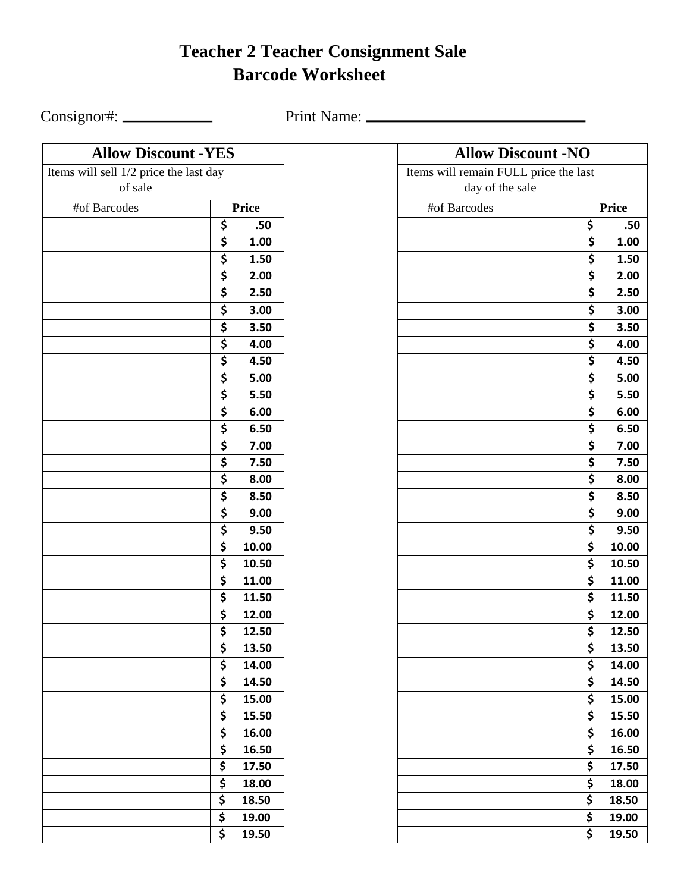## **Teacher 2 Teacher Consignment Sale Barcode Worksheet**

Consignor#: Print Name:

| <b>Allow Discount -YES</b>             |                | <b>Allow Discount -NO</b>            |
|----------------------------------------|----------------|--------------------------------------|
| Items will sell 1/2 price the last day |                | Items will remain FULL price the las |
| of sale                                |                | day of the sale                      |
| #of Barcodes                           | Price          | #of Barcodes                         |
|                                        | \$<br>.50      |                                      |
|                                        | \$<br>1.00     |                                      |
|                                        | \$<br>1.50     |                                      |
|                                        | \$<br>2.00     |                                      |
|                                        | \$<br>2.50     |                                      |
|                                        | \$<br>3.00     |                                      |
|                                        | \$<br>3.50     |                                      |
|                                        | \$<br>4.00     |                                      |
|                                        | \$<br>4.50     |                                      |
|                                        | \$<br>5.00     |                                      |
|                                        | \$<br>5.50     |                                      |
|                                        | \$<br>$6.00\,$ |                                      |
|                                        | \$<br>6.50     |                                      |
|                                        | \$<br>7.00     |                                      |
|                                        | \$<br>7.50     |                                      |
|                                        | \$<br>8.00     |                                      |
|                                        | \$<br>8.50     |                                      |
|                                        | \$<br>9.00     |                                      |
|                                        | \$<br>9.50     |                                      |
|                                        | \$<br>10.00    |                                      |
|                                        | \$<br>10.50    |                                      |
|                                        | \$<br>11.00    |                                      |
|                                        | \$<br>11.50    |                                      |
|                                        | \$<br>12.00    |                                      |
|                                        | \$<br>12.50    |                                      |
|                                        | \$<br>13.50    |                                      |
|                                        | \$<br>14.00    |                                      |
|                                        | \$<br>14.50    |                                      |
|                                        | \$<br>15.00    |                                      |
|                                        | \$<br>15.50    |                                      |
|                                        | \$<br>16.00    |                                      |
|                                        | \$<br>16.50    |                                      |
|                                        | \$<br>17.50    |                                      |
|                                        | \$<br>18.00    |                                      |
|                                        | \$<br>18.50    | ۶                                    |
|                                        | \$<br>19.00    | Ş                                    |
|                                        | \$<br>19.50    | Ş                                    |

| <b>Allow Discount -YES</b>       |          |                | <b>Allow Discount -NO</b>             |                                 |                |
|----------------------------------|----------|----------------|---------------------------------------|---------------------------------|----------------|
| will sell 1/2 price the last day |          |                | Items will remain FULL price the last |                                 |                |
| of sale                          |          |                | day of the sale                       |                                 |                |
| #of Barcodes                     |          | <b>Price</b>   | #of Barcodes                          |                                 | Price          |
|                                  | \$       | .50            |                                       | \$                              | .50            |
|                                  | \$       | 1.00           |                                       | $\overline{\boldsymbol{\zeta}}$ | 1.00           |
|                                  | \$       | 1.50           |                                       | \$                              | 1.50           |
|                                  | \$       | 2.00           |                                       | \$                              | 2.00           |
|                                  | \$       | 2.50           |                                       | \$                              | 2.50           |
|                                  | \$       | 3.00           |                                       | $\overline{\boldsymbol{\zeta}}$ | 3.00           |
|                                  | \$       | 3.50           |                                       | \$                              | 3.50           |
|                                  | \$       | 4.00           |                                       | $\overline{\boldsymbol{\zeta}}$ | 4.00           |
|                                  | \$       | 4.50           |                                       | \$                              | 4.50           |
|                                  | \$       | 5.00           |                                       | $\overline{\boldsymbol{\zeta}}$ | 5.00           |
|                                  | \$       | 5.50           |                                       | $\overline{\boldsymbol{\zeta}}$ | 5.50           |
|                                  | \$       | 6.00           |                                       | $\overline{\boldsymbol{\zeta}}$ | 6.00           |
|                                  | \$       | 6.50           |                                       | \$                              | 6.50           |
|                                  | \$       | 7.00           |                                       | $\overline{\boldsymbol{\zeta}}$ | 7.00           |
|                                  | \$       | 7.50           |                                       | \$                              | 7.50           |
|                                  | \$       | 8.00           |                                       | $\overline{\boldsymbol{\zeta}}$ | 8.00           |
|                                  | \$       | 8.50           |                                       | \$                              | 8.50           |
|                                  | \$       | 9.00           |                                       | $\overline{\boldsymbol{\zeta}}$ | 9.00           |
|                                  | \$       | 9.50           |                                       | \$                              | 9.50           |
|                                  | \$       | 10.00          |                                       | \$                              | 10.00          |
|                                  | \$       | 10.50          |                                       | \$                              | 10.50          |
|                                  | \$<br>\$ | 11.00<br>11.50 |                                       | \$<br>\$                        | 11.00<br>11.50 |
|                                  | \$       | 12.00          |                                       | \$                              | 12.00          |
|                                  | \$       | 12.50          |                                       | \$                              | 12.50          |
|                                  | \$       | 13.50          |                                       | \$                              | 13.50          |
|                                  | \$       | 14.00          |                                       | \$                              | 14.00          |
|                                  | \$       | 14.50          |                                       | \$                              | 14.50          |
|                                  | \$       | 15.00          |                                       | \$                              | 15.00          |
|                                  | \$       | 15.50          |                                       | \$                              | 15.50          |
|                                  | \$       | 16.00          |                                       | \$                              | 16.00          |
|                                  | \$       | 16.50          |                                       | \$                              | 16.50          |
|                                  | \$       | 17.50          |                                       | \$                              | 17.50          |
|                                  | \$       | 18.00          |                                       | \$                              | 18.00          |
|                                  | \$       | 18.50          |                                       | \$                              | 18.50          |
|                                  | \$       | 19.00          |                                       | \$                              | 19.00          |
|                                  | \$       | 19.50          |                                       | \$                              | 19.50          |
|                                  |          |                |                                       |                                 |                |